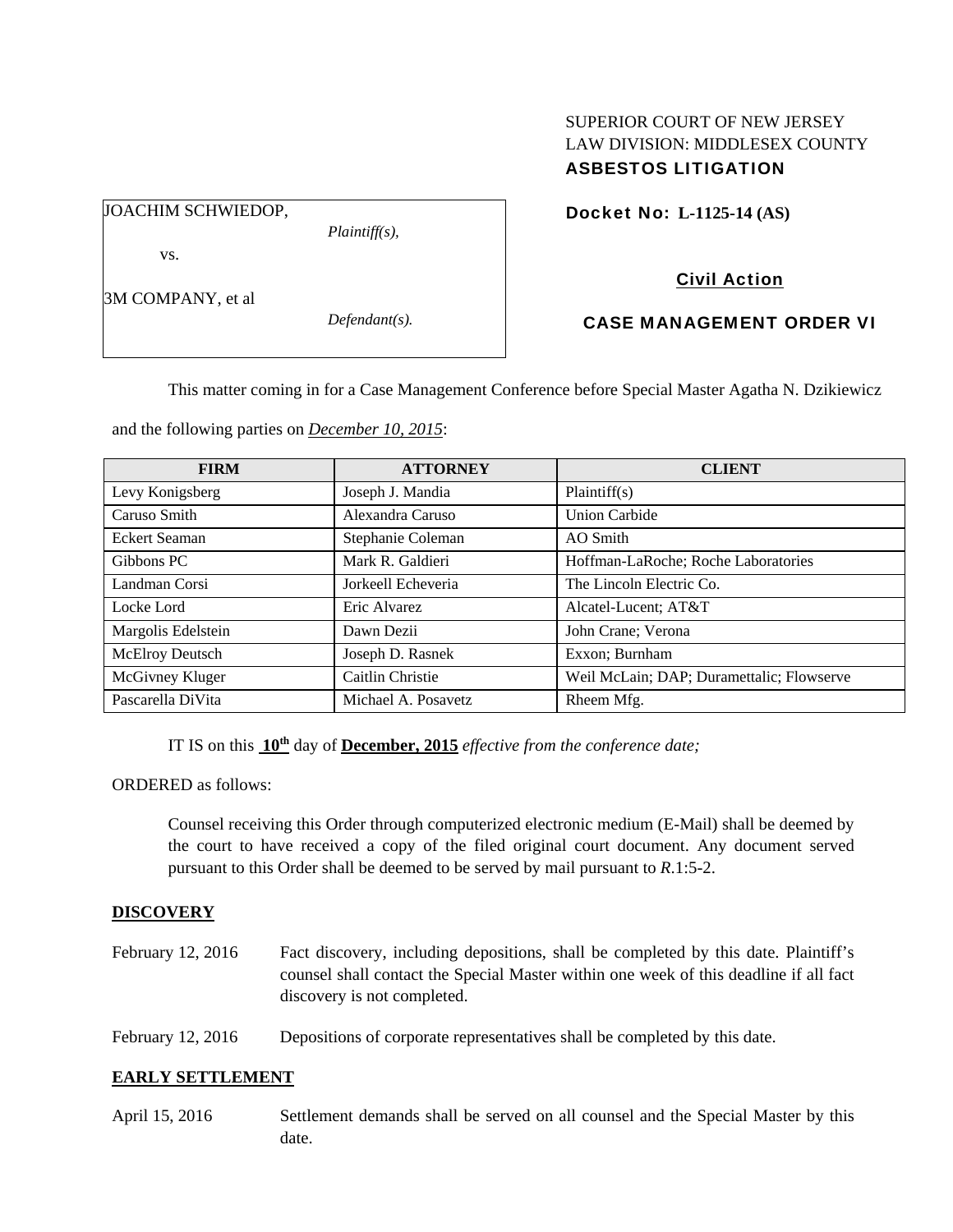# SUPERIOR COURT OF NEW JERSEY LAW DIVISION: MIDDLESEX COUNTY ASBESTOS LITIGATION

JOACHIM SCHWIEDOP,

*Plaintiff(s),* 

Docket No: **L-1125-14 (AS)** 

# vs.

3M COMPANY, et al

*Defendant(s).* 

# Civil Action

# CASE MANAGEMENT ORDER VI

This matter coming in for a Case Management Conference before Special Master Agatha N. Dzikiewicz

and the following parties on *December 10, 2015*:

| <b>FIRM</b>        | <b>ATTORNEY</b>     | <b>CLIENT</b>                             |
|--------------------|---------------------|-------------------------------------------|
| Levy Konigsberg    | Joseph J. Mandia    | Plaintiff(s)                              |
| Caruso Smith       | Alexandra Caruso    | <b>Union Carbide</b>                      |
| Eckert Seaman      | Stephanie Coleman   | AO Smith                                  |
| Gibbons PC         | Mark R. Galdieri    | Hoffman-LaRoche; Roche Laboratories       |
| Landman Corsi      | Jorkeell Echeveria  | The Lincoln Electric Co.                  |
| Locke Lord         | Eric Alvarez        | Alcatel-Lucent; AT&T                      |
| Margolis Edelstein | Dawn Dezii          | John Crane; Verona                        |
| McElroy Deutsch    | Joseph D. Rasnek    | Exxon; Burnham                            |
| McGivney Kluger    | Caitlin Christie    | Weil McLain; DAP; Duramettalic; Flowserve |
| Pascarella DiVita  | Michael A. Posayetz | Rheem Mfg.                                |

IT IS on this **10th** day of **December, 2015** *effective from the conference date;*

ORDERED as follows:

Counsel receiving this Order through computerized electronic medium (E-Mail) shall be deemed by the court to have received a copy of the filed original court document. Any document served pursuant to this Order shall be deemed to be served by mail pursuant to *R*.1:5-2.

# **DISCOVERY**

- February 12, 2016 Fact discovery, including depositions, shall be completed by this date. Plaintiff's counsel shall contact the Special Master within one week of this deadline if all fact discovery is not completed.
- February 12, 2016 Depositions of corporate representatives shall be completed by this date.

# **EARLY SETTLEMENT**

April 15, 2016 Settlement demands shall be served on all counsel and the Special Master by this date.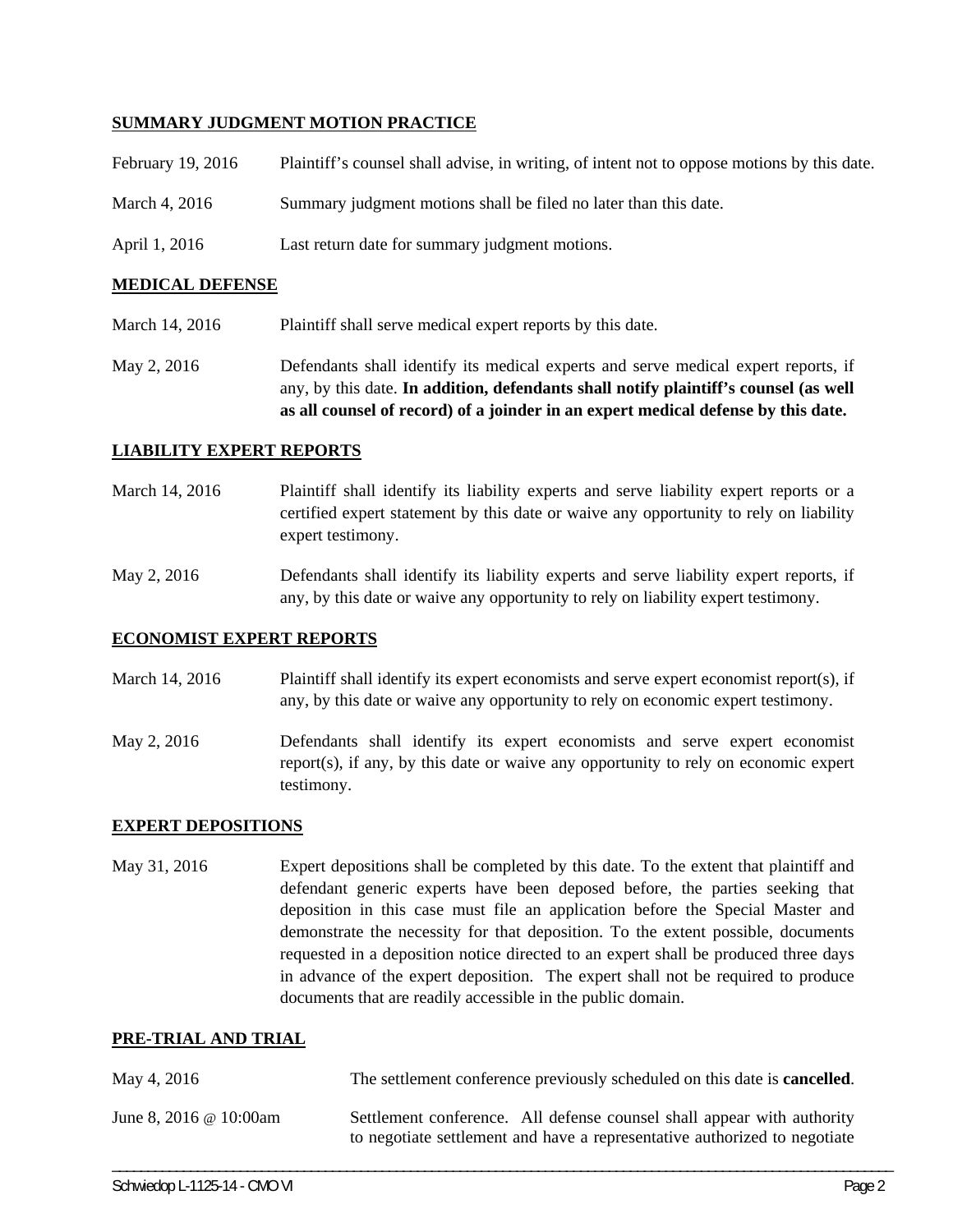### **SUMMARY JUDGMENT MOTION PRACTICE**

| February 19, 2016 | Plaintiff's counsel shall advise, in writing, of intent not to oppose motions by this date. |
|-------------------|---------------------------------------------------------------------------------------------|
| March 4, 2016     | Summary judgment motions shall be filed no later than this date.                            |
| April 1, 2016     | Last return date for summary judgment motions.                                              |

### **MEDICAL DEFENSE**

- March 14, 2016 Plaintiff shall serve medical expert reports by this date.
- May 2, 2016 Defendants shall identify its medical experts and serve medical expert reports, if any, by this date. **In addition, defendants shall notify plaintiff's counsel (as well as all counsel of record) of a joinder in an expert medical defense by this date.**

### **LIABILITY EXPERT REPORTS**

- March 14, 2016 Plaintiff shall identify its liability experts and serve liability expert reports or a certified expert statement by this date or waive any opportunity to rely on liability expert testimony.
- May 2, 2016 Defendants shall identify its liability experts and serve liability expert reports, if any, by this date or waive any opportunity to rely on liability expert testimony.

### **ECONOMIST EXPERT REPORTS**

- March 14, 2016 Plaintiff shall identify its expert economists and serve expert economist report(s), if any, by this date or waive any opportunity to rely on economic expert testimony.
- May 2, 2016 Defendants shall identify its expert economists and serve expert economist report(s), if any, by this date or waive any opportunity to rely on economic expert testimony.

### **EXPERT DEPOSITIONS**

May 31, 2016 Expert depositions shall be completed by this date. To the extent that plaintiff and defendant generic experts have been deposed before, the parties seeking that deposition in this case must file an application before the Special Master and demonstrate the necessity for that deposition. To the extent possible, documents requested in a deposition notice directed to an expert shall be produced three days in advance of the expert deposition. The expert shall not be required to produce documents that are readily accessible in the public domain.

#### **PRE-TRIAL AND TRIAL**

| May 4, 2016                   | The settlement conference previously scheduled on this date is <b>cancelled</b> .                                                                   |
|-------------------------------|-----------------------------------------------------------------------------------------------------------------------------------------------------|
| June 8, 2016 $\omega$ 10:00am | Settlement conference. All defense counsel shall appear with authority<br>to negotiate settlement and have a representative authorized to negotiate |

\_\_\_\_\_\_\_\_\_\_\_\_\_\_\_\_\_\_\_\_\_\_\_\_\_\_\_\_\_\_\_\_\_\_\_\_\_\_\_\_\_\_\_\_\_\_\_\_\_\_\_\_\_\_\_\_\_\_\_\_\_\_\_\_\_\_\_\_\_\_\_\_\_\_\_\_\_\_\_\_\_\_\_\_\_\_\_\_\_\_\_\_\_\_\_\_\_\_\_\_\_\_\_\_\_\_\_\_\_\_